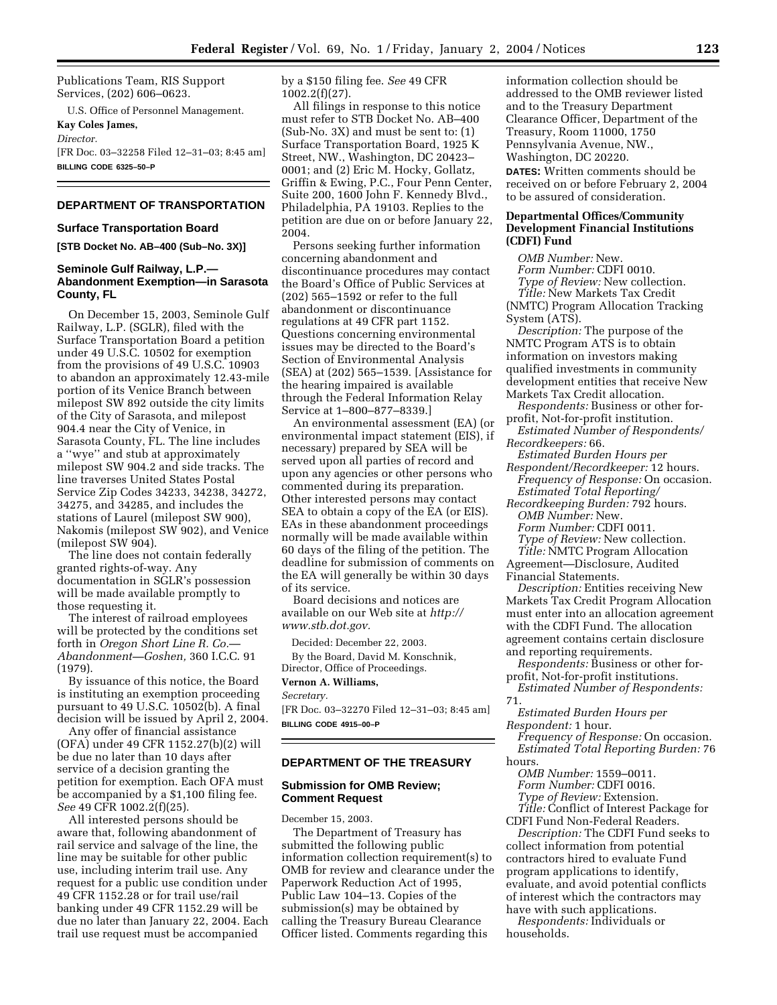Publications Team, RIS Support Services, (202) 606–0623.

U.S. Office of Personnel Management. **Kay Coles James,** 

*Director.*

[FR Doc. 03–32258 Filed 12–31–03; 8:45 am] **BILLING CODE 6325–50–P**

# **DEPARTMENT OF TRANSPORTATION**

#### **Surface Transportation Board**

**[STB Docket No. AB–400 (Sub–No. 3X)]** 

# **Seminole Gulf Railway, L.P.— Abandonment Exemption—in Sarasota County, FL**

On December 15, 2003, Seminole Gulf Railway, L.P. (SGLR), filed with the Surface Transportation Board a petition under 49 U.S.C. 10502 for exemption from the provisions of 49 U.S.C. 10903 to abandon an approximately 12.43-mile portion of its Venice Branch between milepost SW 892 outside the city limits of the City of Sarasota, and milepost 904.4 near the City of Venice, in Sarasota County, FL. The line includes a ''wye'' and stub at approximately milepost SW 904.2 and side tracks. The line traverses United States Postal Service Zip Codes 34233, 34238, 34272, 34275, and 34285, and includes the stations of Laurel (milepost SW 900), Nakomis (milepost SW 902), and Venice (milepost SW 904).

The line does not contain federally granted rights-of-way. Any documentation in SGLR's possession will be made available promptly to those requesting it.

The interest of railroad employees will be protected by the conditions set forth in *Oregon Short Line R. Co.*— *Abandonment—Goshen,* 360 I.C.C. 91 (1979).

By issuance of this notice, the Board is instituting an exemption proceeding pursuant to 49 U.S.C. 10502(b). A final decision will be issued by April 2, 2004.

Any offer of financial assistance (OFA) under 49 CFR 1152.27(b)(2) will be due no later than 10 days after service of a decision granting the petition for exemption. Each OFA must be accompanied by a \$1,100 filing fee. *See* 49 CFR 1002.2(f)(25).

All interested persons should be aware that, following abandonment of rail service and salvage of the line, the line may be suitable for other public use, including interim trail use. Any request for a public use condition under 49 CFR 1152.28 or for trail use/rail banking under 49 CFR 1152.29 will be due no later than January 22, 2004. Each trail use request must be accompanied

by a \$150 filing fee. *See* 49 CFR 1002.2(f)(27).

All filings in response to this notice must refer to STB Docket No. AB–400 (Sub-No. 3X) and must be sent to: (1) Surface Transportation Board, 1925 K Street, NW., Washington, DC 20423– 0001; and (2) Eric M. Hocky, Gollatz, Griffin & Ewing, P.C., Four Penn Center, Suite 200, 1600 John F. Kennedy Blvd., Philadelphia, PA 19103. Replies to the petition are due on or before January 22, 2004.

Persons seeking further information concerning abandonment and discontinuance procedures may contact the Board's Office of Public Services at (202) 565–1592 or refer to the full abandonment or discontinuance regulations at 49 CFR part 1152. Questions concerning environmental issues may be directed to the Board's Section of Environmental Analysis (SEA) at (202) 565–1539. [Assistance for the hearing impaired is available through the Federal Information Relay Service at 1–800–877–8339.]

An environmental assessment (EA) (or environmental impact statement (EIS), if necessary) prepared by SEA will be served upon all parties of record and upon any agencies or other persons who commented during its preparation. Other interested persons may contact SEA to obtain a copy of the EA (or EIS). EAs in these abandonment proceedings normally will be made available within 60 days of the filing of the petition. The deadline for submission of comments on the EA will generally be within 30 days of its service.

Board decisions and notices are available on our Web site at *http:// www.stb.dot.gov.*

Decided: December 22, 2003.

By the Board, David M. Konschnik, Director, Office of Proceedings.

# **Vernon A. Williams,**

*Secretary.*

[FR Doc. 03–32270 Filed 12–31–03; 8:45 am] **BILLING CODE 4915–00–P**

### **DEPARTMENT OF THE TREASURY**

### **Submission for OMB Review; Comment Request**

December 15, 2003.

The Department of Treasury has submitted the following public information collection requirement(s) to OMB for review and clearance under the Paperwork Reduction Act of 1995, Public Law 104–13. Copies of the submission(s) may be obtained by calling the Treasury Bureau Clearance Officer listed. Comments regarding this

information collection should be addressed to the OMB reviewer listed and to the Treasury Department Clearance Officer, Department of the Treasury, Room 11000, 1750 Pennsylvania Avenue, NW., Washington, DC 20220.

**DATES:** Written comments should be received on or before February 2, 2004 to be assured of consideration.

# **Departmental Offices/Community Development Financial Institutions (CDFI) Fund**

*OMB Number:* New. *Form Number:* CDFI 0010. *Type of Review:* New collection. *Title:* New Markets Tax Credit (NMTC) Program Allocation Tracking System (ATS).

*Description:* The purpose of the NMTC Program ATS is to obtain information on investors making qualified investments in community development entities that receive New Markets Tax Credit allocation.

- *Respondents:* Business or other forprofit, Not-for-profit institution.
- *Estimated Number of Respondents/ Recordkeepers:* 66.
- *Estimated Burden Hours per Respondent/Recordkeeper:* 12 hours.
- *Frequency of Response:* On occasion. *Estimated Total Reporting/*

*Recordkeeping Burden:* 792 hours. *OMB Number:* New. *Form Number:* CDFI 0011.

- *Type of Review:* New collection.
- *Title:* NMTC Program Allocation
- Agreement—Disclosure, Audited Financial Statements.

*Description:* Entities receiving New Markets Tax Credit Program Allocation must enter into an allocation agreement with the CDFI Fund. The allocation agreement contains certain disclosure and reporting requirements.

- *Respondents:* Business or other forprofit, Not-for-profit institutions.
- *Estimated Number of Respondents:* 71.
- *Estimated Burden Hours per Respondent:* 1 hour.

*Frequency of Response:* On occasion. *Estimated Total Reporting Burden:* 76 hours.

*OMB Number:* 1559–0011. *Form Number:* CDFI 0016. *Type of Review:* Extension. *Title:* Conflict of Interest Package for

CDFI Fund Non-Federal Readers. *Description:* The CDFI Fund seeks to collect information from potential contractors hired to evaluate Fund program applications to identify, evaluate, and avoid potential conflicts of interest which the contractors may have with such applications.

*Respondents:* Individuals or households.